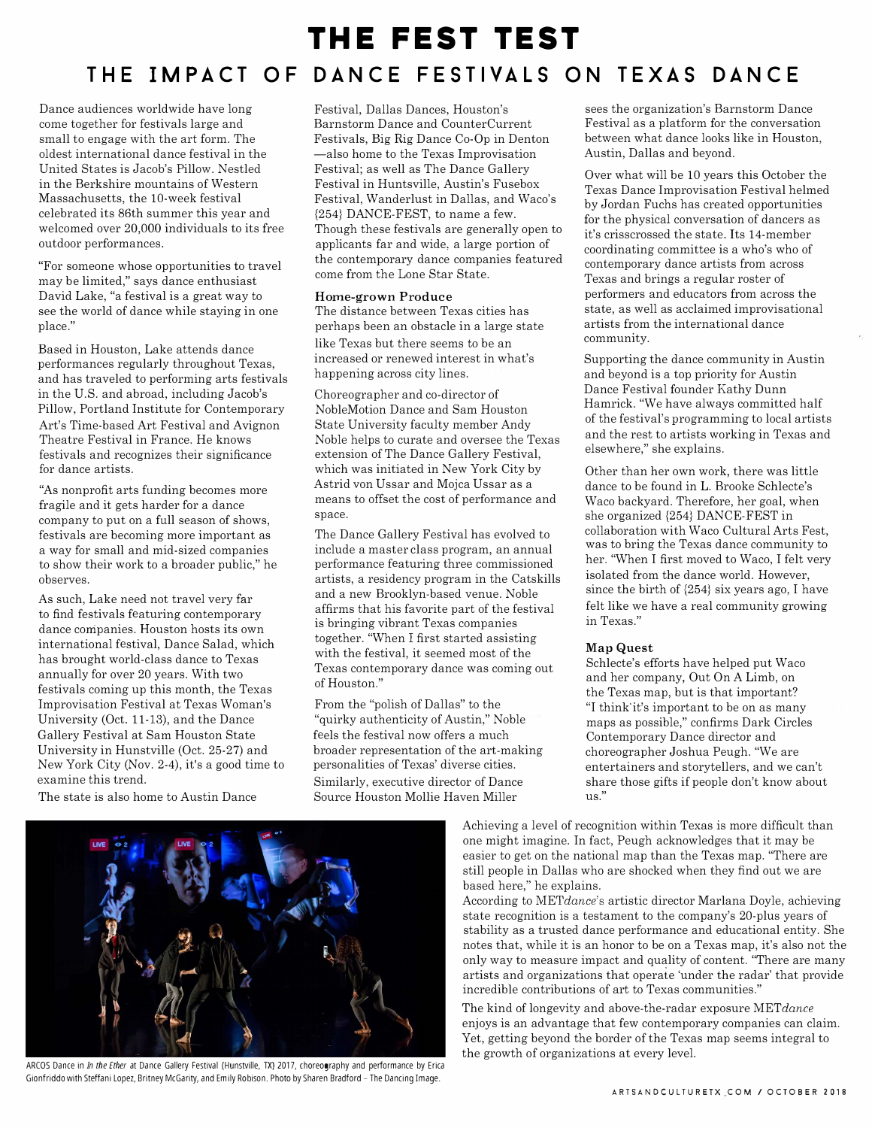# **THE FEST TEST THE IMPACT OF DANCE FESTIVALS ON TEXAS DANCE**

Dance audiences worldwide have long come together for festivals large and small to engage with the art form. The oldest international dance festival in the United States is Jacob's Pillow. Nestled in the Berkshire mountains of Western Massachusetts, the 10-week festival celebrated its 86th summer this year and welcomed over 20,000 individuals to its free outdoor performances.

"For someone whose opportunities to travel may be limited," says dance enthusiast David Lake, "a festival is a great way to see the world of dance while staying in one place."

Based in Houston, Lake attends dance performances regularly throughout Texas, and has traveled to performing arts festivals in the U.S. and abroad, including Jacob's Pillow, Portland Institute for Contemporary Art's Time-based Art Festival and Avignon Theatre Festival in France. He knows festivals and recognizes their significance for dance artists.

"As nonprofit arts funding becomes more fragile and it gets harder for a dance company to put on a full season of shows, festivals are becoming more important as a way for small and mid-sized companies to show their work to a broader public," he observes.

As such, Lake need not travel very far to find festivals featuring contemporary dance companies. Houston hosts its own international festival, Dance Salad, which has brought world-class dance to Texas annually for over 20 years. With two festivals coming up this month, the Texas Improvisation Festival at Texas Woman's University (Oct. 11-13), and the Dance Gallery Festival at Sam Houston State University in Hunstville (Oct. 25-27) and New York City (Nov. 2-4), it's a good time to examine this trend.

The state is also home to Austin Dance

Festival, Dallas Dances, Houston's Barnstorm Dance and CounterCurrent Festivals, Big Rig Dance Co-Op in Denton -also home to the Texas Improvisation Festival; as well as The Dance Gallery Festival in Huntsville, Austin's Fusebox Festival, Wanderlust in Dallas, and Waco's {254} DANCE-FEST, to name a few. Though these festivals are generally open to applicants far and wide, a large portion of the contemporary dance companies featured come from the Lone Star State.

## **Home-grown Produce**

The distance between Texas cities has perhaps been an obstacle in a large state like Texas but there seems to be an increased or renewed interest in what's happening across city lines.

Choreographer and co-director of NobleMotion Dance and Sam Houston State University faculty member Andy Noble helps to curate and oversee the Texas extension of The Dance Gallery Festival, which was initiated in New York City by Astrid von Ussar and Mojca Ussar as a means to offset the cost of performance and space.

The Dance Gallery Festival has evolved to include a master class program, an annual performance featuring three commissioned artists, a residency program in the Catskills and a new Brooklyn-based venue. Noble affirms that his favorite part of the festival is bringing vibrant Texas companies together. "When I first started assisting with the festival, it seemed most of the Texas contemporary dance was coming out of Houston."

From the "polish of Dallas" to the "quirky authenticity of Austin," Noble feels the festival now offers a much broader representation of the art-making personalities of Texas' diverse cities. Similarly, executive director of Dance Source Houston Mollie Haven Miller

sees the organization's Barnstorm Dance Festival as a platform for the conversation between what dance looks like in Houston, Austin, Dallas and beyond.

Over what will be 10 years this October the Texas Dance Improvisation Festival helmed by Jordan Fuchs has created opportunities for the physical conversation of dancers as it's crisscrossed the state. Its 14-member coordinating committee is a who's who of contemporary dance artists from across Texas and brings a regular roster of performers and educators from across the state, as well as acclaimed improvisational artists from the international dance community.

Supporting the dance community in Austin and beyond is a top priority for Austin Dance Festival founder Kathy Dunn Hamrick. "We have always committed half of the festival's programming to local artists and the rest to artists working in Texas and elsewhere," she explains.

Other than her own work, there was little dance to be found in L. Brooke Schlecte's Waco backyard. Therefore, her goal, when she organized {254} DANCE-FEST in collaboration with Waco Cultural Arts Fest, was to bring the Texas dance community to her. "When I first moved to Waco, I felt very isolated from the dance world. However, since the birth of {254} six years ago, I have felt like we have a real community growing in Texas."

## **Map Quest**

Schlecte's efforts have helped put Waco and her company, Out On A Limb, on the Texas map, but is that important? "I think'it's important to be on as many maps as possible," confirms Dark Circles Contemporary Dance director and choreographer Joshua Peugh. "We are entertainers and storytellers, and we can't share those gifts if people don't know about us."

Achieving a level of recognition within Texas is more difficult than one might imagine. In fact, Peugh acknowledges that it may be easier to get on the national map than the Texas map. "There are still people in Dallas who are shocked when they find out we are based here," he explains.

According to *METdance's* artistic director Marlana Doyle, achieving state recognition is a testament to the company's 20-plus years of stability as a trusted dance performance and educational entity. She notes that, while it is an honor to be on a Texas map, it's also not the only way to measure impact and quality of content. "There are many artists and organizations that operate 'under the radar' that provide incredible contributions of art to Texas communities."

The kind of longevity and above-the-radar exposure *METdance* enjoys is an advantage that few contemporary companies can claim. Yet, getting beyond the border of the Texas map seems integral to the growth of organizations at every level.



ARCOS Dance in *In the Ether* at Dance Gallery Festival (Hunstville, TX) 2017, choreography and performance by Erica Gionfriddo with Steffani Lopez, Britney McGarity, and Emily Robison. Photo by Sharen Bradford - The Dancing Image.